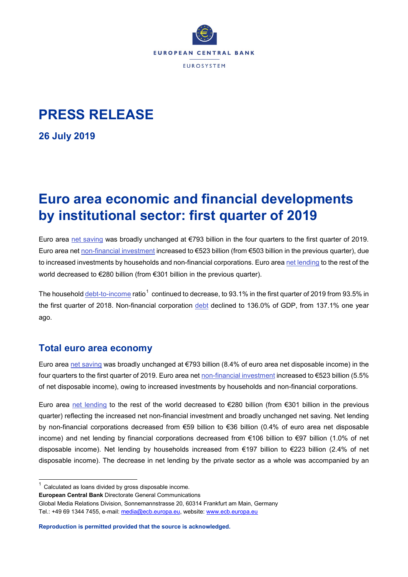

# **PRESS RELEASE**

**26 July 2019**

# **Euro area economic and financial developments by institutional sector: first quarter of 2019**

Euro area [net saving](http://sdw.ecb.europa.eu/browseTable.do?dc=&type=series&cv=&ec=&rc=&node=SEARCHRESULTS&oc=&df=&q=QSA.Q.N.I8.W0.S1.S1._Z.B.B8G._Z._Z._Z.XDC._T.S.V.N._T%20QSA.Q.N.I8.W0.S1.S1.N.D.P51C._Z._Z._Z.XDC._T.S.V.N._T%20QSA.Q.N.I8.W0.S1.S1._Z.B.B6G._Z._Z._Z.XDC._T.S.V.N._T&pb=) was broadly unchanged at €793 billion in the four quarters to the first quarter of 2019. Euro area ne[t non-financial investment](http://sdw.ecb.europa.eu/browseTable.do?dc=&type=series&cv=&ec=&rc=&node=SEARCHRESULTS&oc=&df=&q=QSA.Q.N.I8.W0.S1.S1.N.D.P5._Z._Z._Z.XDC._T.S.V.N._T%20QSA.Q.N.I8.W0.S1M.S1.N.D.NP._Z._Z._Z.XDC._T.S.V.N._T%20QSA.Q.N.I8.W0.S1.S1.N.D.P51C._Z._Z._Z.XDC._T.S.V.N._T%20QSA.Q.N.I8.W0.S1.S1._Z.B.B6G._Z._Z._Z.XDC._T.S.V.N._T&pb=) increased to €523 billion (from €503 billion in the previous quarter), due to increased investments by households and non-financial corporations. Euro area [net lending](http://sdw.ecb.europa.eu/quickview.do?SERIES_KEY=332.QSA.Q.N.I8.W0.S1.S1._Z.B.B9._Z._Z._Z.XDC._T.S.V.N._T) to the rest of the world decreased to €280 billion (from €301 billion in the previous quarter).

The househol[d debt-to-income](http://sdw.ecb.europa.eu/browseTable.do?type=series&ec=&rc=&oc=&df=&dc=&cv=&node=SEARCHRESULTS&q=QSA.Q.N.I8.W0.S1M.S1.N.L.LE.F4.T._Z.XDC._T.S.V.N._T%20QSA.Q.N.I8.W0.S1M.S1._Z.B.B6G._Z._Z._Z.XDC._T.S.V.N._T%20QSA.Q.N.I8.W0.S1M.S1.N.C.D8._Z._Z._Z.XDC._T.S.V.N._T%20QSA.Q.N.I8.W0.S1M.S1.N.D.D8._Z._Z._Z.XDC._T.S.V.N._T&pb=) ratio<sup>[1](#page-0-0)</sup> continued to decrease, to 93.1% in the first quarter of 2019 from 93.5% in the first quarter of 2018. Non-financial corporation [debt](http://sdw.ecb.europa.eu/browseTable.do?dc=&type=series&cv=&ec=&rc=&node=SEARCHRESULTS&oc=&df=&q=QSA.Q.N.I8.W0.S11.S1.N.L.LE.F4.T._Z.XDC._T.S.V.N._T%20QSA.Q.N.I8.W0.S11.S1.N.L.LE.F3.T._Z.XDC._T.S.V.N._T%20QSA.Q.N.I8.W0.S11.S1.N.L.LE.F6._Z._Z.XDC._T.S.V.N._T%20QSA.Q.N.I8.W0.S11.S1.N.L.LE.F81.T._Z.XDC._T.S.V.N._T%20QSA.Q.N.I8.W0.S1.S1._Z.B.B1GQ._Z._Z._Z.XDC._T.S.V.N._T&pb=) declined to 136.0% of GDP, from 137.1% one year ago.

## **Total euro area economy**

Euro area [net saving](http://sdw.ecb.europa.eu/browseTable.do?dc=&type=series&cv=&ec=&rc=&node=SEARCHRESULTS&oc=&df=&q=QSA.Q.N.I8.W0.S1.S1._Z.B.B8G._Z._Z._Z.XDC._T.S.V.N._T%20QSA.Q.N.I8.W0.S1.S1.N.D.P51C._Z._Z._Z.XDC._T.S.V.N._T%20QSA.Q.N.I8.W0.S1.S1._Z.B.B6G._Z._Z._Z.XDC._T.S.V.N._T&pb=) was broadly unchanged at €793 billion (8.4% of euro area net disposable income) in the four quarters to the first quarter of 2019. Euro area net [non-financial investment](http://sdw.ecb.europa.eu/browseTable.do?dc=&type=series&cv=&ec=&rc=&node=SEARCHRESULTS&oc=&df=&q=QSA.Q.N.I8.W0.S1.S1.N.D.P5._Z._Z._Z.XDC._T.S.V.N._T%20QSA.Q.N.I8.W0.S1M.S1.N.D.NP._Z._Z._Z.XDC._T.S.V.N._T%20QSA.Q.N.I8.W0.S1.S1.N.D.P51C._Z._Z._Z.XDC._T.S.V.N._T%20QSA.Q.N.I8.W0.S1.S1._Z.B.B6G._Z._Z._Z.XDC._T.S.V.N._T&pb=) increased to €523 billion (5.5% of net disposable income), owing to increased investments by households and non-financial corporations.

Euro area [net lending](http://sdw.ecb.europa.eu/quickview.do?SERIES_KEY=332.QSA.Q.N.I8.W0.S1.S1._Z.B.B9._Z._Z._Z.XDC._T.S.V.N._T) to the rest of the world decreased to €280 billion (from €301 billion in the previous quarter) reflecting the increased net non-financial investment and broadly unchanged net saving. Net lending by non-financial corporations decreased from €59 billion to €36 billion (0.4% of euro area net disposable income) and net lending by financial corporations decreased from €106 billion to €97 billion (1.0% of net disposable income). Net lending by households increased from €197 billion to €223 billion (2.4% of net disposable income). The decrease in net lending by the private sector as a whole was accompanied by an

<span id="page-0-0"></span> $1$  Calculated as loans divided by gross disposable income.

**European Central Bank** Directorate General Communications

Global Media Relations Division, Sonnemannstrasse 20, 60314 Frankfurt am Main, Germany Tel.: +49 69 1344 7455, e-mail: [media@ecb.europa.eu,](mailto:media@ecb.europa.eu) website: [www.ecb.europa.eu](http://www.ecb.europa.eu/)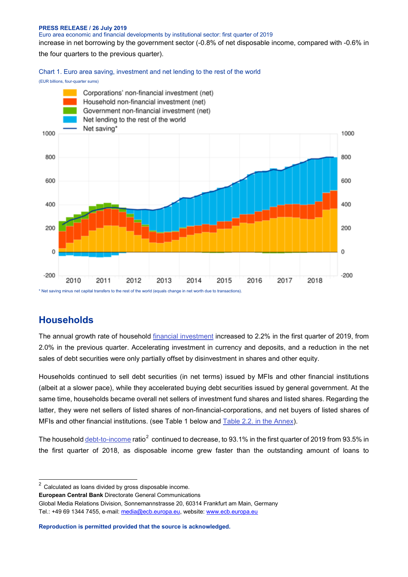#### **PRESS RELEASE / 26 July 2019**

Euro area economic and financial developments by institutional sector: first quarter of 2019

increase in net borrowing by the government sector (-0.8% of net disposable income, compared with -0.6% in

the four quarters to the previous quarter).

Chart 1. Euro area saving, investment and net lending to the rest of the world

#### (EUR billions, four-quarter sums)



## **Households**

The annual growth rate of household [financial investment](http://sdw.ecb.europa.eu/browseTable.do?dc=&type=series&cv=&ec=&rc=&node=SEARCHRESULTS&oc=&df=&q=QSA.Q.N.I8.W0.S1M.S1.N.A.F.F._Z._Z.XDC._T.S.V.N._T%20QSA.Q.N.I8.W0.S1M.S1.N.A.LE.F._Z._Z.XDC._T.S.V.N._T&pb=&SERIES_KEY=332.QSA.Q.N.I8.W0.S1M.S1.N.A.F.F._Z._Z.XDC._T.S.V.N._T&SERIES_KEY=332.QSA.Q.N.I8.W0.S1M.S1.N.A.LE.F._Z._Z.XDC._T.S.V.N._T) increased to 2.2% in the first quarter of 2019, from 2.0% in the previous quarter. Accelerating investment in currency and deposits, and a reduction in the net sales of debt securities were only partially offset by disinvestment in shares and other equity.

Households continued to sell debt securities (in net terms) issued by MFIs and other financial institutions (albeit at a slower pace), while they accelerated buying debt securities issued by general government. At the same time, households became overall net sellers of investment fund shares and listed shares. Regarding the latter, they were net sellers of listed shares of non-financial-corporations, and net buyers of listed shares of MFIs and other financial institutions. (see Table 1 below and [Table 2.2. in the Annex\)](http://sdw.ecb.europa.eu/web/generator/prl/pr_qsa_0201_2019q1.pdf).

The househol[d debt-to-income](http://sdw.ecb.europa.eu/browseTable.do?type=series&ec=&rc=&oc=&df=&dc=&cv=&node=SEARCHRESULTS&q=QSA.Q.N.I8.W0.S1M.S1.N.L.LE.F4.T._Z.XDC._T.S.V.N._T%20QSA.Q.N.I8.W0.S1M.S1._Z.B.B6G._Z._Z._Z.XDC._T.S.V.N._T%20QSA.Q.N.I8.W0.S1M.S1.N.C.D8._Z._Z._Z.XDC._T.S.V.N._T%20QSA.Q.N.I8.W0.S1M.S1.N.D.D8._Z._Z._Z.XDC._T.S.V.N._T&pb=) ratio<sup>[2](#page-1-0)</sup> continued to decrease, to 93.1% in the first quarter of 2019 from 93.5% in the first quarter of 2018, as disposable income grew faster than the outstanding amount of loans to

<span id="page-1-0"></span> $2$  Calculated as loans divided by gross disposable income.

**European Central Bank** Directorate General Communications

Global Media Relations Division, Sonnemannstrasse 20, 60314 Frankfurt am Main, Germany Tel.: +49 69 1344 7455, e-mail: [media@ecb.europa.eu,](mailto:media@ecb.europa.eu) website: [www.ecb.europa.eu](http://www.ecb.europa.eu/)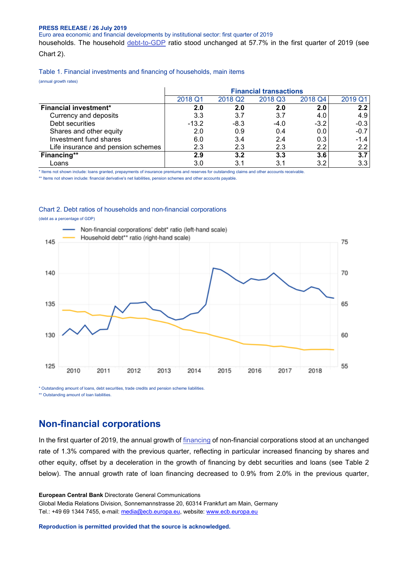#### **PRESS RELEASE / 26 July 2019**

Euro area economic and financial developments by institutional sector: first quarter of 2019

households. The household [debt-to-GDP](http://sdw.ecb.europa.eu/browseTable.do?type=series&ec=&rc=&oc=&df=&dc=&cv=&node=SEARCHRESULTS&q=QSA.Q.N.I8.W0.S1M.S1.N.L.LE.F4.T._Z.XDC._T.S.V.N._T%20QSA.Q.N.I8.W0.S1.S1._Z.B.B1GQ._Z._Z._Z.XDC._T.S.V.N._T&pb=) ratio stood unchanged at 57.7% in the first quarter of 2019 (see Chart 2).

#### Table 1. Financial investments and financing of households, main items

(annual growth rates)

|                                    | <b>Financial transactions</b> |                     |         |                  |         |  |  |
|------------------------------------|-------------------------------|---------------------|---------|------------------|---------|--|--|
|                                    | 2018 Q1                       | 2018 Q <sub>2</sub> | 2018 Q3 | 2018 Q4          | 2019 Q1 |  |  |
| <b>Financial investment*</b>       | 2.0                           | 2.0                 | 2.0     | 2.0              | 2.2     |  |  |
| Currency and deposits              | 3.3                           | 3.7                 | 3.7     | 4.0              | 4.9     |  |  |
| Debt securities                    | $-13.2$                       | $-8.3$              | $-4.0$  | $-3.2$           | $-0.3$  |  |  |
| Shares and other equity            | 2.0                           | 0.9                 | 0.4     | 0.0              | $-0.7$  |  |  |
| Investment fund shares             | 6.0                           | 3.4                 | 2.4     | 0.3 <sub>1</sub> | $-1.4$  |  |  |
| Life insurance and pension schemes | 2.3                           | 2.3                 | 2.3     | $2.2^{\circ}$    | 2.2     |  |  |
| Financing**                        | 2.9                           | 3.2                 | 3.3     | 3.6              | 3.7     |  |  |
| Loans                              | 3.0                           | 3.1                 | 3.1     | 3.2              | 3.3     |  |  |

\* Items not shown include: loans granted, prepayments of insurance premiums and reserves for outstanding claims and other accounts receivable.

\*\* Items not shown include: financial derivative's net liabilities, pension schemes and other accounts payable.

#### Chart 2. Debt ratios of households and non-financial corporations

(debt as a percentage of GDP)



\* Outstanding amount of loans, debt securities, trade credits and pension scheme liabilities. \*\* Outstanding amount of loan liabilities.

## **Non-financial corporations**

In the first quarter of 2019, the annual growth of [financing](http://sdw.ecb.europa.eu/quickview.do?SERIES_KEY=332.QSA.Q.N.I8.W0.S11.S1.N.L.F.F._Z._Z.XDC._T.S.V.N._T) of non-financial corporations stood at an unchanged rate of 1.3% compared with the previous quarter, reflecting in particular increased financing by shares and other equity, offset by a deceleration in the growth of financing by debt securities and loans (see Table 2 below). The annual growth rate of loan financing decreased to 0.9% from 2.0% in the previous quarter,

**European Central Bank** Directorate General Communications Global Media Relations Division, Sonnemannstrasse 20, 60314 Frankfurt am Main, Germany Tel.: +49 69 1344 7455, e-mail: [media@ecb.europa.eu,](mailto:media@ecb.europa.eu) website: [www.ecb.europa.eu](http://www.ecb.europa.eu/)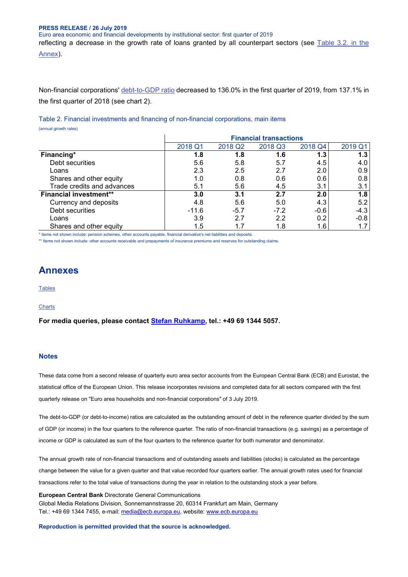### **PRESS RELEASE / 26 July 2019** Euro area economic and financial developments by institutional sector: first quarter of 2019

reflecting a decrease in the growth rate of loans granted by all counterpart sectors (see [Table 3.2. in the](http://sdw.ecb.europa.eu/web/generator/prl/pr_qsa_0201_2019q1.pdf)  [Annex\)](http://sdw.ecb.europa.eu/web/generator/prl/pr_qsa_0201_2019q1.pdf).

Non-financial corporations' [debt-to-GDP ratio](http://sdw.ecb.europa.eu/browseTable.do?dc=&type=series&cv=&ec=&rc=&node=SEARCHRESULTS&oc=&df=&q=QSA.Q.N.I8.W0.S11.S1.N.L.LE.F4.T._Z.XDC._T.S.V.N._T%20QSA.Q.N.I8.W0.S11.S1.N.L.LE.F3.T._Z.XDC._T.S.V.N._T%20QSA.Q.N.I8.W0.S11.S1.N.L.LE.F6._Z._Z.XDC._T.S.V.N._T%20QSA.Q.N.I8.W0.S11.S1.N.L.LE.F81.T._Z.XDC._T.S.V.N._T%20QSA.Q.N.I8.W0.S1.S1._Z.B.B1GQ._Z._Z._Z.XDC._T.S.V.N._T&pb=) decreased to 136.0% in the first quarter of 2019, from 137.1% in the first quarter of 2018 (see chart 2).

Table 2. Financial investments and financing of non-financial corporations, main items (annual growth rates)

| ו מוווועמו קוטאנוו ומנטטן     |                               |                     |         |         |         |  |  |
|-------------------------------|-------------------------------|---------------------|---------|---------|---------|--|--|
|                               | <b>Financial transactions</b> |                     |         |         |         |  |  |
|                               | 2018 Q1                       | 2018 Q <sub>2</sub> | 2018 Q3 | 2018 Q4 | 2019 Q1 |  |  |
| Financing*                    | 1.8                           | 1.8                 | 1.6     | 1.3     | 1.3     |  |  |
| Debt securities               | 5.6                           | 5.8                 | 5.7     | 4.5     | 4.0     |  |  |
| Loans                         | 2.3                           | 2.5                 | 2.7     | 2.0     | 0.9     |  |  |
| Shares and other equity       | 1.0                           | 0.8                 | 0.6     | 0.6     | 0.8     |  |  |
| Trade credits and advances    | 5.1                           | 5.6                 | 4.5     | 3.1     | 3.1     |  |  |
| <b>Financial investment**</b> | 3.0                           | 3.1                 | 2.7     | 2.0     | 1.8     |  |  |
| Currency and deposits         | 4.8                           | 5.6                 | 5.0     | 4.3     | 5.2     |  |  |
| Debt securities               | $-11.6$                       | $-5.7$              | $-7.2$  | $-0.6$  | $-4.3$  |  |  |
| Loans                         | 3.9                           | 2.7                 | 2.2     | 0.2     | $-0.8$  |  |  |
| Shares and other equity       | 1.5                           | 1.7                 | 1.8     | 1.6     | 1.7     |  |  |

\* Items not shown include: pension schemes, other accounts payable, financial derivative's net liabilities and deposits.

\*\* Items not shown include: other accounts receivable and prepayments of insurance premiums and reserves for outstanding claims.

## **Annexes**

**[Tables](http://sdw.ecb.europa.eu/web/generator/prl/pr_qsa_0201_2019q1.pdf)** 

### **[Charts](http://sdw.ecb.europa.eu/web/generator/prl/pr_qsa_0202_2019q1.pdf)**

**For media queries, please contact [Stefan Ruhkamp,](mailto:stefan.ruhkamp@ecb.europa.eu) tel.: +49 69 1344 5057.**

#### **Notes**

These data come from a second release of quarterly euro area sector accounts from the European Central Bank (ECB) and Eurostat, the statistical office of the European Union. This release incorporates revisions and completed data for all sectors compared with the first quarterly release on "Euro area households and non-financial corporations" of 3 July 2019.

The debt-to-GDP (or debt-to-income) ratios are calculated as the outstanding amount of debt in the reference quarter divided by the sum of GDP (or income) in the four quarters to the reference quarter. The ratio of non-financial transactions (e.g. savings) as a percentage of income or GDP is calculated as sum of the four quarters to the reference quarter for both numerator and denominator.

The annual growth rate of non-financial transactions and of outstanding assets and liabilities (stocks) is calculated as the percentage change between the value for a given quarter and that value recorded four quarters earlier. The annual growth rates used for financial transactions refer to the total value of transactions during the year in relation to the outstanding stock a year before.

**European Central Bank** Directorate General Communications Global Media Relations Division, Sonnemannstrasse 20, 60314 Frankfurt am Main, Germany Tel.: +49 69 1344 7455, e-mail: [media@ecb.europa.eu,](mailto:media@ecb.europa.eu) website: [www.ecb.europa.eu](http://www.ecb.europa.eu/)